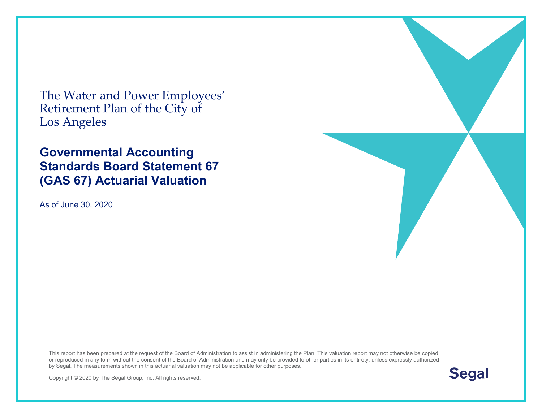The Water and Power Employees' Retirement Plan of the City of Los Angeles

#### **Governmental Accounting Standards Board Statement 67 (GAS 67) Actuarial Valuation**

As of June 30, 2020

This report has been prepared at the request of the Board of Administration to assist in administering the Plan. This valuation report may not otherwise be copied or reproduced in any form without the consent of the Board of Administration and may only be provided to other parties in its entirety, unless expressly authorized by Segal. The measurements shown in this actuarial valuation may not be applicable for other purposes.

**Segal** 

Copyright © 2020 by The Segal Group, Inc. All rights reserved.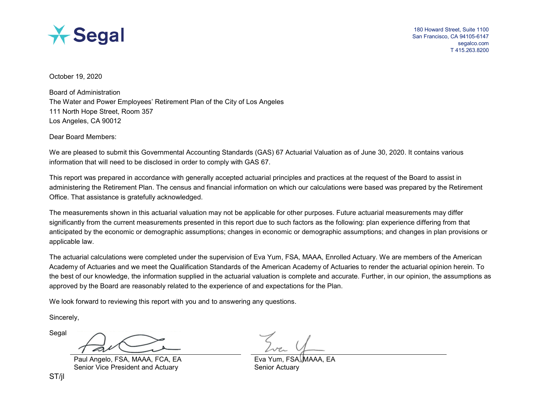

October 19, 2020

Board of Administration The Water and Power Employees' Retirement Plan of the City of Los Angeles 111 North Hope Street, Room 357 Los Angeles, CA 90012

Dear Board Members:

We are pleased to submit this Governmental Accounting Standards (GAS) 67 Actuarial Valuation as of June 30, 2020. It contains various information that will need to be disclosed in order to comply with GAS 67.

This report was prepared in accordance with generally accepted actuarial principles and practices at the request of the Board to assist in administering the Retirement Plan. The census and financial information on which our calculations were based was prepared by the Retirement Office. That assistance is gratefully acknowledged.

The measurements shown in this actuarial valuation may not be applicable for other purposes. Future actuarial measurements may differ significantly from the current measurements presented in this report due to such factors as the following: plan experience differing from that anticipated by the economic or demographic assumptions; changes in economic or demographic assumptions; and changes in plan provisions or applicable law.

The actuarial calculations were completed under the supervision of Eva Yum, FSA, MAAA, Enrolled Actuary. We are members of the American Academy of Actuaries and we meet the Qualification Standards of the American Academy of Actuaries to render the actuarial opinion herein. To the best of our knowledge, the information supplied in the actuarial valuation is complete and accurate. Further, in our opinion, the assumptions as approved by the Board are reasonably related to the experience of and expectations for the Plan.

We look forward to reviewing this report with you and to answering any questions.

Sincerely,

Segal

Paul Angelo, FSA, MAAA, FCA, EA Exa Eva Yum, FSA, MAAA, Senior Vice President and Actuary **Senior Actuary** Senior Actuary

ST/jl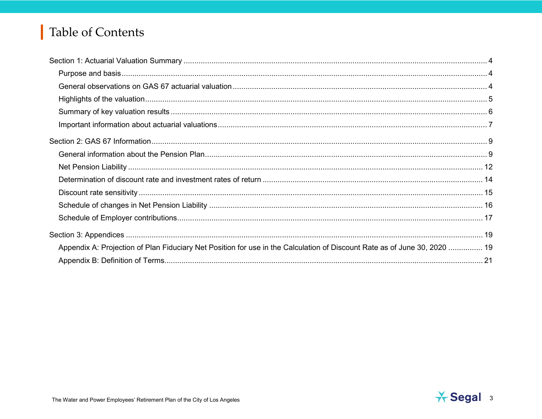## Table of Contents

| Appendix A: Projection of Plan Fiduciary Net Position for use in the Calculation of Discount Rate as of June 30, 2020  19 |  |
|---------------------------------------------------------------------------------------------------------------------------|--|
|                                                                                                                           |  |

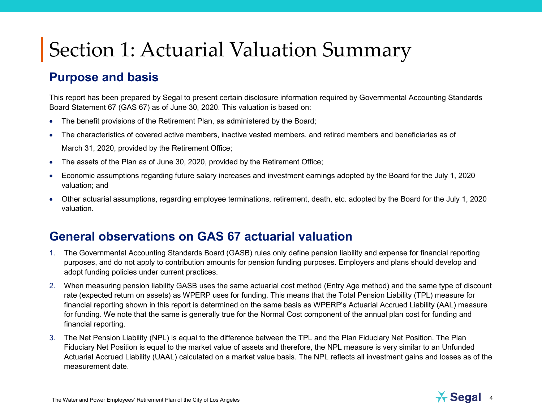#### **Purpose and basis**

This report has been prepared by Segal to present certain disclosure information required by Governmental Accounting Standards Board Statement 67 (GAS 67) as of June 30, 2020. This valuation is based on:

- The benefit provisions of the Retirement Plan, as administered by the Board;
- The characteristics of covered active members, inactive vested members, and retired members and beneficiaries as of March 31, 2020, provided by the Retirement Office;
- The assets of the Plan as of June 30, 2020, provided by the Retirement Office;
- Economic assumptions regarding future salary increases and investment earnings adopted by the Board for the July 1, 2020 valuation; and
- Other actuarial assumptions, regarding employee terminations, retirement, death, etc. adopted by the Board for the July 1, 2020 valuation.

#### **General observations on GAS 67 actuarial valuation**

- 1. The Governmental Accounting Standards Board (GASB) rules only define pension liability and expense for financial reporting purposes, and do not apply to contribution amounts for pension funding purposes. Employers and plans should develop and adopt funding policies under current practices.
- 2. When measuring pension liability GASB uses the same actuarial cost method (Entry Age method) and the same type of discount rate (expected return on assets) as WPERP uses for funding. This means that the Total Pension Liability (TPL) measure for financial reporting shown in this report is determined on the same basis as WPERP's Actuarial Accrued Liability (AAL) measure for funding. We note that the same is generally true for the Normal Cost component of the annual plan cost for funding and financial reporting.
- 3. The Net Pension Liability (NPL) is equal to the difference between the TPL and the Plan Fiduciary Net Position. The Plan Fiduciary Net Position is equal to the market value of assets and therefore, the NPL measure is very similar to an Unfunded Actuarial Accrued Liability (UAAL) calculated on a market value basis. The NPL reflects all investment gains and losses as of the measurement date.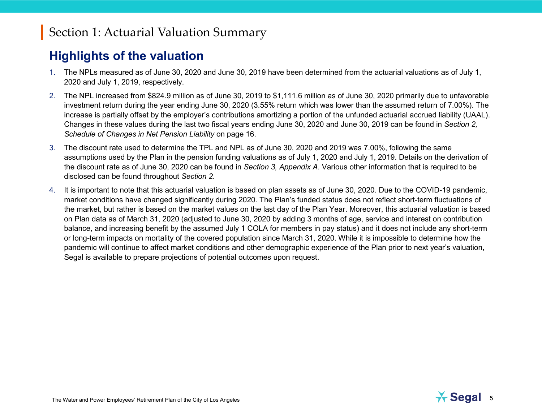#### **Highlights of the valuation**

- 1. The NPLs measured as of June 30, 2020 and June 30, 2019 have been determined from the actuarial valuations as of July 1, 2020 and July 1, 2019, respectively.
- 2. The NPL increased from \$824.9 million as of June 30, 2019 to \$1,111.6 million as of June 30, 2020 primarily due to unfavorable investment return during the year ending June 30, 2020 (3.55% return which was lower than the assumed return of 7.00%). The increase is partially offset by the employer's contributions amortizing a portion of the unfunded actuarial accrued liability (UAAL). Changes in these values during the last two fiscal years ending June 30, 2020 and June 30, 2019 can be found in *Section 2, Schedule of Changes in Net Pension Liability* on page 16.
- 3. The discount rate used to determine the TPL and NPL as of June 30, 2020 and 2019 was 7.00%, following the same assumptions used by the Plan in the pension funding valuations as of July 1, 2020 and July 1, 2019. Details on the derivation of the discount rate as of June 30, 2020 can be found in *Section 3, Appendix A*. Various other information that is required to be disclosed can be found throughout *Section 2*.
- 4. It is important to note that this actuarial valuation is based on plan assets as of June 30, 2020. Due to the COVID-19 pandemic, market conditions have changed significantly during 2020. The Plan's funded status does not reflect short-term fluctuations of the market, but rather is based on the market values on the last day of the Plan Year. Moreover, this actuarial valuation is based on Plan data as of March 31, 2020 (adjusted to June 30, 2020 by adding 3 months of age, service and interest on contribution balance, and increasing benefit by the assumed July 1 COLA for members in pay status) and it does not include any short-term or long-term impacts on mortality of the covered population since March 31, 2020. While it is impossible to determine how the pandemic will continue to affect market conditions and other demographic experience of the Plan prior to next year's valuation, Segal is available to prepare projections of potential outcomes upon request.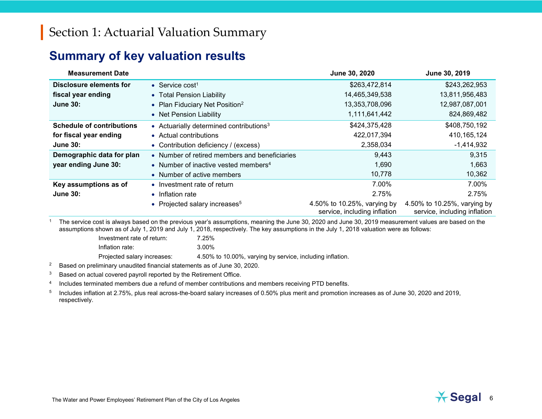#### **Summary of key valuation results**

| <b>Measurement Date</b>          |                                                     | June 30, 2020                                               | June 30, 2019                                               |
|----------------------------------|-----------------------------------------------------|-------------------------------------------------------------|-------------------------------------------------------------|
| Disclosure elements for          | • Service cost <sup>1</sup>                         | \$263,472,814                                               | \$243,262,953                                               |
| fiscal year ending               | • Total Pension Liability                           | 14,465,349,538                                              | 13,811,956,483                                              |
| <b>June 30:</b>                  | • Plan Fiduciary Net Position <sup>2</sup>          | 13,353,708,096                                              | 12,987,087,001                                              |
|                                  | • Net Pension Liability                             | 1,111,641,442                                               | 824,869,482                                                 |
| <b>Schedule of contributions</b> | • Actuarially determined contributions <sup>3</sup> | \$424,375,428                                               | \$408,750,192                                               |
| for fiscal year ending           | • Actual contributions                              | 422,017,394                                                 | 410, 165, 124                                               |
| <b>June 30:</b>                  | • Contribution deficiency / (excess)                | 2,358,034                                                   | $-1,414,932$                                                |
| Demographic data for plan        | • Number of retired members and beneficiaries       | 9,443                                                       | 9,315                                                       |
| year ending June 30:             | • Number of inactive vested members <sup>4</sup>    | 1,690                                                       | 1,663                                                       |
|                                  | • Number of active members                          | 10,778                                                      | 10,362                                                      |
| Key assumptions as of            | • Investment rate of return                         | 7.00%                                                       | 7.00%                                                       |
| <b>June 30:</b>                  | • Inflation rate                                    | 2.75%                                                       | 2.75%                                                       |
|                                  | • Projected salary increases <sup>5</sup>           | 4.50% to 10.25%, varying by<br>service, including inflation | 4.50% to 10.25%, varying by<br>service, including inflation |

<sup>1</sup> The service cost is always based on the previous year's assumptions, meaning the June 30, 2020 and June 30, 2019 measurement values are based on the assumptions shown as of July 1, 2019 and July 1, 2018, respectively. The key assumptions in the July 1, 2018 valuation were as follows:

Investment rate of return: 7.25% Inflation rate: 3.00% Projected salary increases: 4.50% to 10.00%, varying by service, including inflation.

<sup>2</sup> Based on preliminary unaudited financial statements as of June 30, 2020.

 $3$  Based on actual covered payroll reported by the Retirement Office.

<sup>4</sup> Includes terminated members due a refund of member contributions and members receiving PTD benefits.

<sup>5</sup> Includes inflation at 2.75%, plus real across-the-board salary increases of 0.50% plus merit and promotion increases as of June 30, 2020 and 2019, respectively.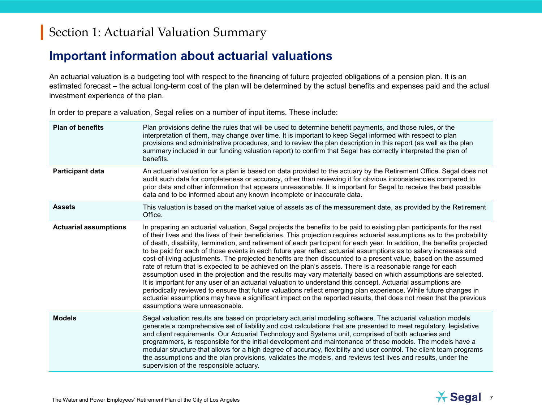#### **Important information about actuarial valuations**

An actuarial valuation is a budgeting tool with respect to the financing of future projected obligations of a pension plan. It is an estimated forecast – the actual long-term cost of the plan will be determined by the actual benefits and expenses paid and the actual investment experience of the plan.

**Plan of benefits** Plan provisions define the rules that will be used to determine benefit payments, and those rules, or the interpretation of them, may change over time. It is important to keep Segal informed with respect to plan provisions and administrative procedures, and to review the plan description in this report (as well as the plan summary included in our funding valuation report) to confirm that Segal has correctly interpreted the plan of benefits. **Participant data** An actuarial valuation for a plan is based on data provided to the actuary by the Retirement Office. Segal does not audit such data for completeness or accuracy, other than reviewing it for obvious inconsistencies compared to prior data and other information that appears unreasonable. It is important for Segal to receive the best possible data and to be informed about any known incomplete or inaccurate data. **Assets** This valuation is based on the market value of assets as of the measurement date, as provided by the Retirement Office. **Actuarial assumptions** In preparing an actuarial valuation, Segal projects the benefits to be paid to existing plan participants for the rest of their lives and the lives of their beneficiaries. This projection requires actuarial assumptions as to the probability of death, disability, termination, and retirement of each participant for each year. In addition, the benefits projected to be paid for each of those events in each future year reflect actuarial assumptions as to salary increases and cost-of-living adjustments. The projected benefits are then discounted to a present value, based on the assumed rate of return that is expected to be achieved on the plan's assets. There is a reasonable range for each assumption used in the projection and the results may vary materially based on which assumptions are selected. It is important for any user of an actuarial valuation to understand this concept. Actuarial assumptions are periodically reviewed to ensure that future valuations reflect emerging plan experience. While future changes in actuarial assumptions may have a significant impact on the reported results, that does not mean that the previous assumptions were unreasonable. **Models** Segal valuation results are based on proprietary actuarial modeling software. The actuarial valuation models generate a comprehensive set of liability and cost calculations that are presented to meet regulatory, legislative and client requirements. Our Actuarial Technology and Systems unit, comprised of both actuaries and programmers, is responsible for the initial development and maintenance of these models. The models have a modular structure that allows for a high degree of accuracy, flexibility and user control. The client team programs the assumptions and the plan provisions, validates the models, and reviews test lives and results, under the supervision of the responsible actuary.

In order to prepare a valuation, Segal relies on a number of input items. These include:



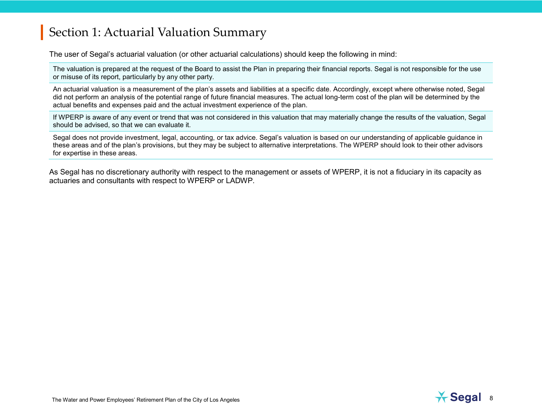The user of Segal's actuarial valuation (or other actuarial calculations) should keep the following in mind:

The valuation is prepared at the request of the Board to assist the Plan in preparing their financial reports. Segal is not responsible for the use or misuse of its report, particularly by any other party.

An actuarial valuation is a measurement of the plan's assets and liabilities at a specific date. Accordingly, except where otherwise noted, Segal did not perform an analysis of the potential range of future financial measures. The actual long-term cost of the plan will be determined by the actual benefits and expenses paid and the actual investment experience of the plan.

If WPERP is aware of any event or trend that was not considered in this valuation that may materially change the results of the valuation, Segal should be advised, so that we can evaluate it.

Segal does not provide investment, legal, accounting, or tax advice. Segal's valuation is based on our understanding of applicable guidance in these areas and of the plan's provisions, but they may be subject to alternative interpretations. The WPERP should look to their other advisors for expertise in these areas.

As Segal has no discretionary authority with respect to the management or assets of WPERP, it is not a fiduciary in its capacity as actuaries and consultants with respect to WPERP or LADWP.

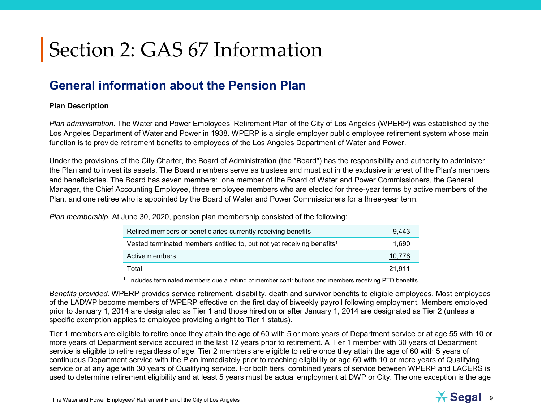#### **General information about the Pension Plan**

#### **Plan Description**

*Plan administration.* The Water and Power Employees' Retirement Plan of the City of Los Angeles (WPERP) was established by the Los Angeles Department of Water and Power in 1938. WPERP is a single employer public employee retirement system whose main function is to provide retirement benefits to employees of the Los Angeles Department of Water and Power.

Under the provisions of the City Charter, the Board of Administration (the "Board") has the responsibility and authority to administer the Plan and to invest its assets. The Board members serve as trustees and must act in the exclusive interest of the Plan's members and beneficiaries. The Board has seven members: one member of the Board of Water and Power Commissioners, the General Manager, the Chief Accounting Employee, three employee members who are elected for three-year terms by active members of the Plan, and one retiree who is appointed by the Board of Water and Power Commissioners for a three-year term.

*Plan membership.* At June 30, 2020, pension plan membership consisted of the following:

| Retired members or beneficiaries currently receiving benefits                      | 9.443  |
|------------------------------------------------------------------------------------|--------|
| Vested terminated members entitled to, but not yet receiving benefits <sup>1</sup> | 1.690  |
| Active members                                                                     | 10,778 |
| Total                                                                              | 21.911 |
|                                                                                    |        |

<sup>1</sup> Includes terminated members due a refund of member contributions and members receiving PTD benefits.

*Benefits provided.* WPERP provides service retirement, disability, death and survivor benefits to eligible employees. Most employees of the LADWP become members of WPERP effective on the first day of biweekly payroll following employment. Members employed prior to January 1, 2014 are designated as Tier 1 and those hired on or after January 1, 2014 are designated as Tier 2 (unless a specific exemption applies to employee providing a right to Tier 1 status).

Tier 1 members are eligible to retire once they attain the age of 60 with 5 or more years of Department service or at age 55 with 10 or more years of Department service acquired in the last 12 years prior to retirement. A Tier 1 member with 30 years of Department service is eligible to retire regardless of age. Tier 2 members are eligible to retire once they attain the age of 60 with 5 years of continuous Department service with the Plan immediately prior to reaching eligibility or age 60 with 10 or more years of Qualifying service or at any age with 30 years of Qualifying service. For both tiers, combined years of service between WPERP and LACERS is used to determine retirement eligibility and at least 5 years must be actual employment at DWP or City. The one exception is the age

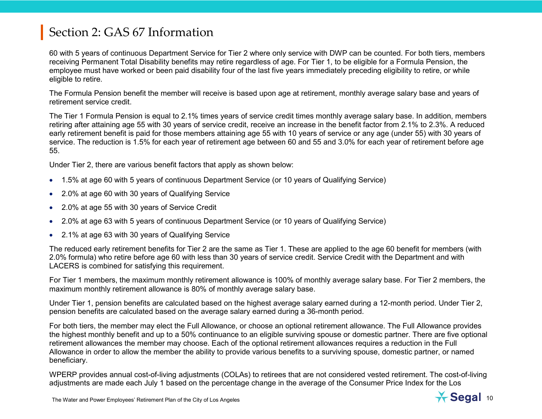60 with 5 years of continuous Department Service for Tier 2 where only service with DWP can be counted. For both tiers, members receiving Permanent Total Disability benefits may retire regardless of age. For Tier 1, to be eligible for a Formula Pension, the employee must have worked or been paid disability four of the last five years immediately preceding eligibility to retire, or while eligible to retire.

The Formula Pension benefit the member will receive is based upon age at retirement, monthly average salary base and years of retirement service credit.

The Tier 1 Formula Pension is equal to 2.1% times years of service credit times monthly average salary base. In addition, members retiring after attaining age 55 with 30 years of service credit, receive an increase in the benefit factor from 2.1% to 2.3%. A reduced early retirement benefit is paid for those members attaining age 55 with 10 years of service or any age (under 55) with 30 years of service. The reduction is 1.5% for each year of retirement age between 60 and 55 and 3.0% for each year of retirement before age 55.

Under Tier 2, there are various benefit factors that apply as shown below:

- 1.5% at age 60 with 5 years of continuous Department Service (or 10 years of Qualifying Service)
- 2.0% at age 60 with 30 years of Qualifying Service
- 2.0% at age 55 with 30 years of Service Credit
- 2.0% at age 63 with 5 years of continuous Department Service (or 10 years of Qualifying Service)
- 2.1% at age 63 with 30 years of Qualifying Service

The reduced early retirement benefits for Tier 2 are the same as Tier 1. These are applied to the age 60 benefit for members (with 2.0% formula) who retire before age 60 with less than 30 years of service credit. Service Credit with the Department and with LACERS is combined for satisfying this requirement.

For Tier 1 members, the maximum monthly retirement allowance is 100% of monthly average salary base. For Tier 2 members, the maximum monthly retirement allowance is 80% of monthly average salary base.

Under Tier 1, pension benefits are calculated based on the highest average salary earned during a 12-month period. Under Tier 2, pension benefits are calculated based on the average salary earned during a 36-month period.

For both tiers, the member may elect the Full Allowance, or choose an optional retirement allowance. The Full Allowance provides the highest monthly benefit and up to a 50% continuance to an eligible surviving spouse or domestic partner. There are five optional retirement allowances the member may choose. Each of the optional retirement allowances requires a reduction in the Full Allowance in order to allow the member the ability to provide various benefits to a surviving spouse, domestic partner, or named beneficiary.

WPERP provides annual cost-of-living adjustments (COLAs) to retirees that are not considered vested retirement. The cost-of-living adjustments are made each July 1 based on the percentage change in the average of the Consumer Price Index for the Los

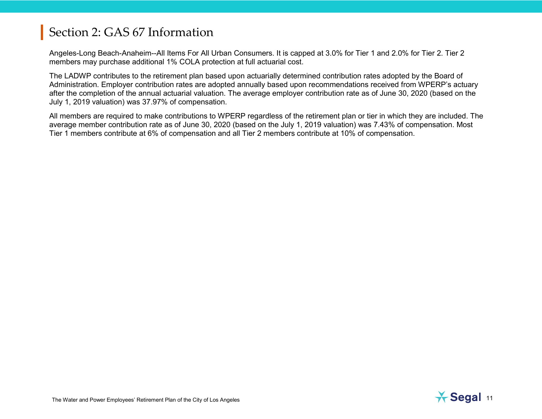Angeles-Long Beach-Anaheim--All Items For All Urban Consumers. It is capped at 3.0% for Tier 1 and 2.0% for Tier 2. Tier 2 members may purchase additional 1% COLA protection at full actuarial cost.

The LADWP contributes to the retirement plan based upon actuarially determined contribution rates adopted by the Board of Administration. Employer contribution rates are adopted annually based upon recommendations received from WPERP's actuary after the completion of the annual actuarial valuation. The average employer contribution rate as of June 30, 2020 (based on the July 1, 2019 valuation) was 37.97% of compensation.

All members are required to make contributions to WPERP regardless of the retirement plan or tier in which they are included. The average member contribution rate as of June 30, 2020 (based on the July 1, 2019 valuation) was 7.43% of compensation. Most Tier 1 members contribute at 6% of compensation and all Tier 2 members contribute at 10% of compensation.

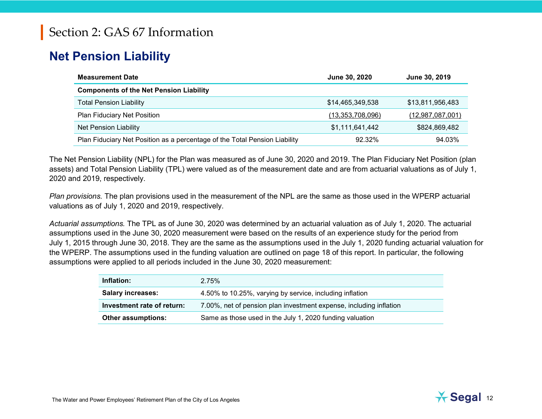### **Net Pension Liability**

| <b>Measurement Date</b>                                                    | June 30, 2020       | June 30, 2019    |
|----------------------------------------------------------------------------|---------------------|------------------|
| <b>Components of the Net Pension Liability</b>                             |                     |                  |
| <b>Total Pension Liability</b>                                             | \$14,465,349,538    | \$13,811,956,483 |
| <b>Plan Fiduciary Net Position</b>                                         | (13, 353, 708, 096) | (12,987,087,001) |
| <b>Net Pension Liability</b>                                               | \$1,111,641,442     | \$824,869,482    |
| Plan Fiduciary Net Position as a percentage of the Total Pension Liability | 92.32%              | 94.03%           |

The Net Pension Liability (NPL) for the Plan was measured as of June 30, 2020 and 2019. The Plan Fiduciary Net Position (plan assets) and Total Pension Liability (TPL) were valued as of the measurement date and are from actuarial valuations as of July 1, 2020 and 2019, respectively.

*Plan provisions.* The plan provisions used in the measurement of the NPL are the same as those used in the WPERP actuarial valuations as of July 1, 2020 and 2019, respectively.

*Actuarial assumptions.* The TPL as of June 30, 2020 was determined by an actuarial valuation as of July 1, 2020. The actuarial assumptions used in the June 30, 2020 measurement were based on the results of an experience study for the period from July 1, 2015 through June 30, 2018. They are the same as the assumptions used in the July 1, 2020 funding actuarial valuation for the WPERP. The assumptions used in the funding valuation are outlined on page 18 of this report. In particular, the following assumptions were applied to all periods included in the June 30, 2020 measurement:

| Inflation:                 | 2.75%                                                              |
|----------------------------|--------------------------------------------------------------------|
| <b>Salary increases:</b>   | 4.50% to 10.25%, varying by service, including inflation           |
| Investment rate of return: | 7.00%, net of pension plan investment expense, including inflation |
| <b>Other assumptions:</b>  | Same as those used in the July 1, 2020 funding valuation           |

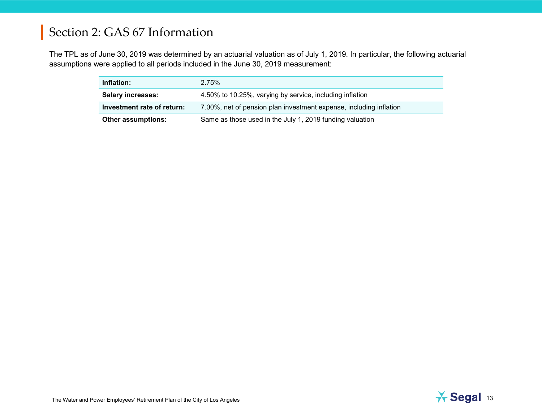The TPL as of June 30, 2019 was determined by an actuarial valuation as of July 1, 2019. In particular, the following actuarial assumptions were applied to all periods included in the June 30, 2019 measurement:

| Inflation:                 | 2.75%                                                              |
|----------------------------|--------------------------------------------------------------------|
| <b>Salary increases:</b>   | 4.50% to 10.25%, varying by service, including inflation           |
| Investment rate of return: | 7.00%, net of pension plan investment expense, including inflation |
| <b>Other assumptions:</b>  | Same as those used in the July 1, 2019 funding valuation           |

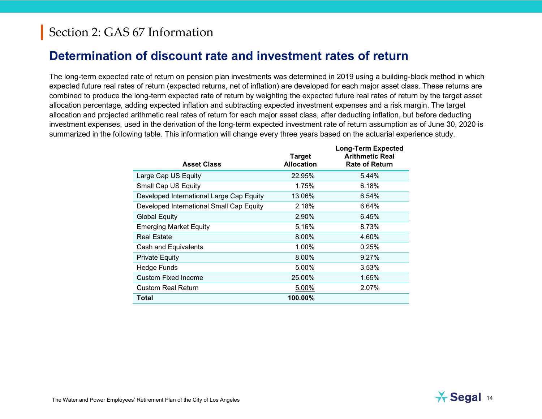#### **Determination of discount rate and investment rates of return**

The long-term expected rate of return on pension plan investments was determined in 2019 using a building-block method in which expected future real rates of return (expected returns, net of inflation) are developed for each major asset class. These returns are combined to produce the long-term expected rate of return by weighting the expected future real rates of return by the target asset allocation percentage, adding expected inflation and subtracting expected investment expenses and a risk margin. The target allocation and projected arithmetic real rates of return for each major asset class, after deducting inflation, but before deducting investment expenses, used in the derivation of the long-term expected investment rate of return assumption as of June 30, 2020 is summarized in the following table. This information will change every three years based on the actuarial experience study.

| <b>Asset Class</b>                       | <b>Target</b><br><b>Allocation</b> | <b>Long-Term Expected</b><br><b>Arithmetic Real</b><br><b>Rate of Return</b> |
|------------------------------------------|------------------------------------|------------------------------------------------------------------------------|
| Large Cap US Equity                      | 22.95%                             | 5.44%                                                                        |
| Small Cap US Equity                      | 1.75%                              | 6.18%                                                                        |
| Developed International Large Cap Equity | 13.06%                             | 6.54%                                                                        |
| Developed International Small Cap Equity | 2.18%                              | 6.64%                                                                        |
| <b>Global Equity</b>                     | 2.90%                              | 6.45%                                                                        |
| <b>Emerging Market Equity</b>            | 5.16%                              | 8.73%                                                                        |
| <b>Real Estate</b>                       | 8.00%                              | 4.60%                                                                        |
| Cash and Equivalents                     | 1.00%                              | 0.25%                                                                        |
| <b>Private Equity</b>                    | 8.00%                              | 9.27%                                                                        |
| <b>Hedge Funds</b>                       | 5.00%                              | 3.53%                                                                        |
| <b>Custom Fixed Income</b>               | 25.00%                             | 1.65%                                                                        |
| <b>Custom Real Return</b>                | 5.00%                              | 2.07%                                                                        |
| Total                                    | 100.00%                            |                                                                              |

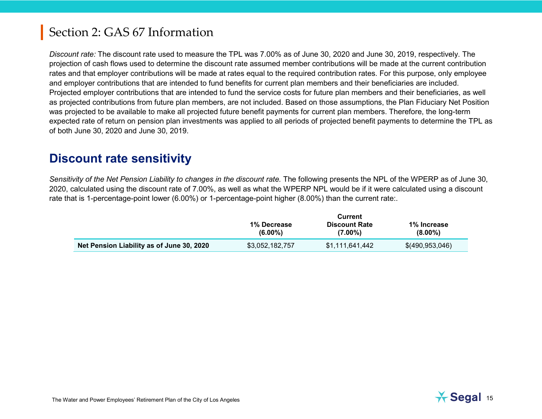*Discount rate:* The discount rate used to measure the TPL was 7.00% as of June 30, 2020 and June 30, 2019, respectively. The projection of cash flows used to determine the discount rate assumed member contributions will be made at the current contribution rates and that employer contributions will be made at rates equal to the required contribution rates. For this purpose, only employee and employer contributions that are intended to fund benefits for current plan members and their beneficiaries are included. Projected employer contributions that are intended to fund the service costs for future plan members and their beneficiaries, as well as projected contributions from future plan members, are not included. Based on those assumptions, the Plan Fiduciary Net Position was projected to be available to make all projected future benefit payments for current plan members. Therefore, the long-term expected rate of return on pension plan investments was applied to all periods of projected benefit payments to determine the TPL as of both June 30, 2020 and June 30, 2019.

#### **Discount rate sensitivity**

*Sensitivity of the Net Pension Liability to changes in the discount rate.* The following presents the NPL of the WPERP as of June 30, 2020, calculated using the discount rate of 7.00%, as well as what the WPERP NPL would be if it were calculated using a discount rate that is 1-percentage-point lower (6.00%) or 1-percentage-point higher (8.00%) than the current rate:.

|                                           | Current                   |                                    |                           |
|-------------------------------------------|---------------------------|------------------------------------|---------------------------|
|                                           | 1% Decrease<br>$(6.00\%)$ | <b>Discount Rate</b><br>$(7.00\%)$ | 1% Increase<br>$(8.00\%)$ |
| Net Pension Liability as of June 30, 2020 | \$3,052,182,757           | \$1.111.641.442                    | \$(490,953,046)           |

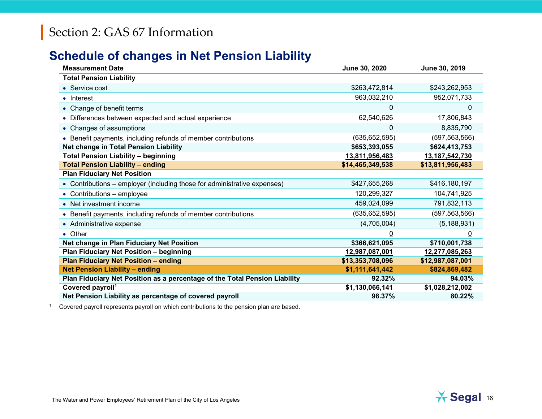#### **Schedule of changes in Net Pension Liability**

| <b>Measurement Date</b>                                                    | June 30, 2020    | June 30, 2019     |
|----------------------------------------------------------------------------|------------------|-------------------|
| <b>Total Pension Liability</b>                                             |                  |                   |
| • Service cost                                                             | \$263,472,814    | \$243,262,953     |
| • Interest                                                                 | 963,032,210      | 952,071,733       |
| • Change of benefit terms                                                  | 0                | 0                 |
| • Differences between expected and actual experience                       | 62,540,626       | 17,806,843        |
| • Changes of assumptions                                                   | 0                | 8,835,790         |
| • Benefit payments, including refunds of member contributions              | (635, 652, 595)  | (597, 563, 566)   |
| Net change in Total Pension Liability                                      | \$653,393,055    | \$624,413,753     |
| <b>Total Pension Liability - beginning</b>                                 | 13,811,956,483   | 13, 187, 542, 730 |
| <b>Total Pension Liability - ending</b>                                    | \$14,465,349,538 | \$13,811,956,483  |
| <b>Plan Fiduciary Net Position</b>                                         |                  |                   |
| • Contributions – employer (including those for administrative expenses)   | \$427,655,268    | \$416,180,197     |
| • Contributions $-$ employee                                               | 120,299,327      | 104,741,925       |
| • Net investment income                                                    | 459,024,099      | 791,832,113       |
| • Benefit payments, including refunds of member contributions              | (635, 652, 595)  | (597, 563, 566)   |
| • Administrative expense                                                   | (4,705,004)      | (5, 188, 931)     |
| • Other                                                                    | <u>0</u>         | $\overline{0}$    |
| Net change in Plan Fiduciary Net Position                                  | \$366,621,095    | \$710,001,738     |
| Plan Fiduciary Net Position - beginning                                    | 12,987,087,001   | 12,277,085,263    |
| <b>Plan Fiduciary Net Position - ending</b>                                | \$13,353,708,096 | \$12,987,087,001  |
| <b>Net Pension Liability - ending</b>                                      | \$1,111,641,442  | \$824,869,482     |
| Plan Fiduciary Net Position as a percentage of the Total Pension Liability | 92.32%           | 94.03%            |
| Covered payroll <sup>1</sup>                                               | \$1,130,066,141  | \$1,028,212,002   |
| Net Pension Liability as percentage of covered payroll                     | 98.37%           | 80.22%            |

<sup>1</sup> Covered payroll represents payroll on which contributions to the pension plan are based.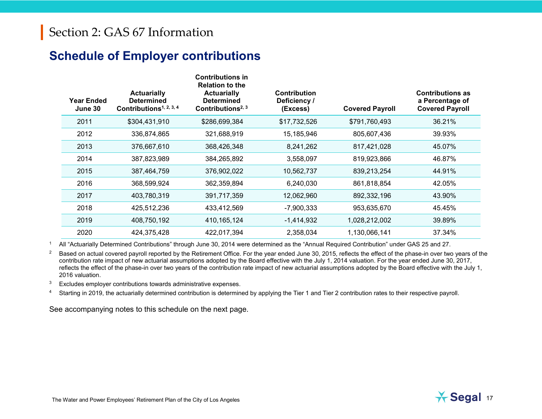#### **Schedule of Employer contributions**

| <b>Year Ended</b><br>June 30 | <b>Actuarially</b><br><b>Determined</b><br>Contributions <sup>1, 2, 3, 4</sup> | <b>Contributions</b> in<br><b>Relation to the</b><br><b>Actuarially</b><br>Determined<br>Contributions <sup>2, 3</sup> | <b>Contribution</b><br>Deficiency /<br>(Excess) | <b>Covered Payroll</b> | <b>Contributions as</b><br>a Percentage of<br><b>Covered Payroll</b> |
|------------------------------|--------------------------------------------------------------------------------|------------------------------------------------------------------------------------------------------------------------|-------------------------------------------------|------------------------|----------------------------------------------------------------------|
| 2011                         | \$304,431,910                                                                  | \$286,699,384                                                                                                          | \$17,732,526                                    | \$791,760,493          | 36.21%                                                               |
| 2012                         | 336,874,865                                                                    | 321,688,919                                                                                                            | 15,185,946                                      | 805,607,436            | 39.93%                                                               |
| 2013                         | 376,667,610                                                                    | 368,426,348                                                                                                            | 8,241,262                                       | 817,421,028            | 45.07%                                                               |
| 2014                         | 387,823,989                                                                    | 384,265,892                                                                                                            | 3,558,097                                       | 819,923,866            | 46.87%                                                               |
| 2015                         | 387,464,759                                                                    | 376,902,022                                                                                                            | 10,562,737                                      | 839,213,254            | 44.91%                                                               |
| 2016                         | 368,599,924                                                                    | 362,359,894                                                                                                            | 6,240,030                                       | 861,818,854            | 42.05%                                                               |
| 2017                         | 403,780,319                                                                    | 391,717,359                                                                                                            | 12,062,960                                      | 892,332,196            | 43.90%                                                               |
| 2018                         | 425,512,236                                                                    | 433,412,569                                                                                                            | $-7,900,333$                                    | 953,635,670            | 45.45%                                                               |
| 2019                         | 408,750,192                                                                    | 410, 165, 124                                                                                                          | $-1,414,932$                                    | 1,028,212,002          | 39.89%                                                               |
| 2020                         | 424,375,428                                                                    | 422,017,394                                                                                                            | 2,358,034                                       | 1,130,066,141          | 37.34%                                                               |

<sup>1</sup> All "Actuarially Determined Contributions" through June 30, 2014 were determined as the "Annual Required Contribution" under GAS 25 and 27.

**Contributions in** 

<sup>2</sup> Based on actual covered payroll reported by the Retirement Office. For the year ended June 30, 2015, reflects the effect of the phase-in over two years of the contribution rate impact of new actuarial assumptions adopted by the Board effective with the July 1, 2014 valuation. For the year ended June 30, 2017, reflects the effect of the phase-in over two years of the contribution rate impact of new actuarial assumptions adopted by the Board effective with the July 1, 2016 valuation.

 $3$  Excludes employer contributions towards administrative expenses.

<sup>4</sup> Starting in 2019, the actuarially determined contribution is determined by applying the Tier 1 and Tier 2 contribution rates to their respective payroll.

See accompanying notes to this schedule on the next page.

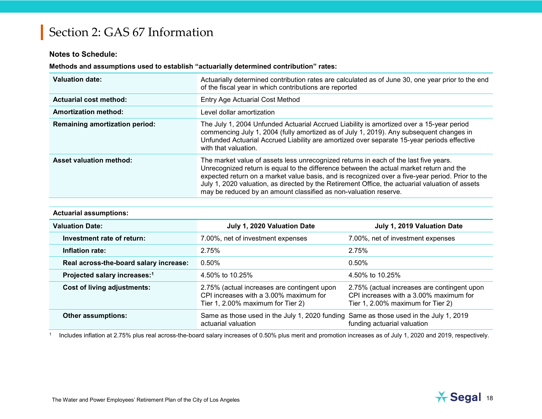#### **Notes to Schedule:**

#### **Methods and assumptions used to establish "actuarially determined contribution" rates:**

| Valuation date:                       | Actuarially determined contribution rates are calculated as of June 30, one year prior to the end<br>of the fiscal year in which contributions are reported                                                                                                                                                                                                                                                                                                |
|---------------------------------------|------------------------------------------------------------------------------------------------------------------------------------------------------------------------------------------------------------------------------------------------------------------------------------------------------------------------------------------------------------------------------------------------------------------------------------------------------------|
| <b>Actuarial cost method:</b>         | <b>Entry Age Actuarial Cost Method</b>                                                                                                                                                                                                                                                                                                                                                                                                                     |
| <b>Amortization method:</b>           | Level dollar amortization                                                                                                                                                                                                                                                                                                                                                                                                                                  |
| <b>Remaining amortization period:</b> | The July 1, 2004 Unfunded Actuarial Accrued Liability is amortized over a 15-year period<br>commencing July 1, 2004 (fully amortized as of July 1, 2019). Any subsequent changes in<br>Unfunded Actuarial Accrued Liability are amortized over separate 15-year periods effective<br>with that valuation.                                                                                                                                                  |
| <b>Asset valuation method:</b>        | The market value of assets less unrecognized returns in each of the last five years.<br>Unrecognized return is equal to the difference between the actual market return and the<br>expected return on a market value basis, and is recognized over a five-year period. Prior to the<br>July 1, 2020 valuation, as directed by the Retirement Office, the actuarial valuation of assets<br>may be reduced by an amount classified as non-valuation reserve. |

#### **Actuarial assumptions:**

| <b>Valuation Date:</b>                   | July 1, 2020 Valuation Date                                                                                                | July 1, 2019 Valuation Date                                                                                                |
|------------------------------------------|----------------------------------------------------------------------------------------------------------------------------|----------------------------------------------------------------------------------------------------------------------------|
| Investment rate of return:               | 7.00%, net of investment expenses                                                                                          | 7.00%, net of investment expenses                                                                                          |
| Inflation rate:                          | 2.75%                                                                                                                      | 2.75%                                                                                                                      |
| Real across-the-board salary increase:   | $0.50\%$                                                                                                                   | 0.50%                                                                                                                      |
| Projected salary increases: <sup>1</sup> | 4.50% to 10.25%                                                                                                            | 4.50% to 10.25%                                                                                                            |
| Cost of living adjustments:              | 2.75% (actual increases are contingent upon<br>CPI increases with a 3.00% maximum for<br>Tier 1, 2.00% maximum for Tier 2) | 2.75% (actual increases are contingent upon<br>CPI increases with a 3.00% maximum for<br>Tier 1, 2.00% maximum for Tier 2) |
| <b>Other assumptions:</b>                | Same as those used in the July 1, 2020 funding Same as those used in the July 1, 2019<br>actuarial valuation               | funding actuarial valuation                                                                                                |

<sup>1</sup> Includes inflation at 2.75% plus real across-the-board salary increases of 0.50% plus merit and promotion increases as of July 1, 2020 and 2019, respectively.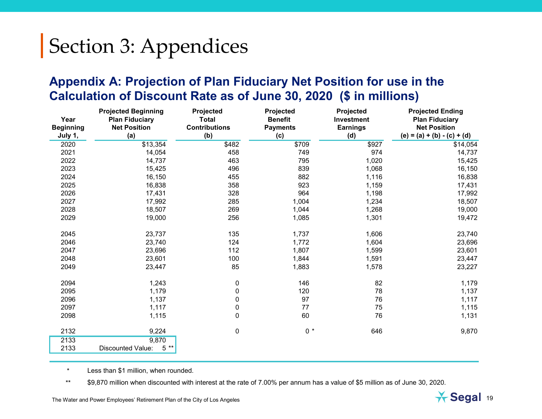#### **Appendix A: Projection of Plan Fiduciary Net Position for use in the Calculation of Discount Rate as of June 30, 2020 (\$ in millions)**

| Year             | <b>Projected Beginning</b><br><b>Plan Fiduciary</b> | Projected<br><b>Total</b> | Projected<br><b>Benefit</b> | Projected<br>Investment | <b>Projected Ending</b><br><b>Plan Fiduciary</b> |
|------------------|-----------------------------------------------------|---------------------------|-----------------------------|-------------------------|--------------------------------------------------|
| <b>Beginning</b> | <b>Net Position</b>                                 | <b>Contributions</b>      | <b>Payments</b>             | <b>Earnings</b>         | <b>Net Position</b>                              |
| July 1,          | (a)                                                 | (b)                       | (c)                         | (d)                     | $(e) = (a) + (b) - (c) + (d)$                    |
| 2020             | \$13,354                                            | \$482                     | \$709                       | \$927                   | \$14,054                                         |
| 2021             | 14,054                                              | 458                       | 749                         | 974                     | 14,737                                           |
| 2022             | 14,737                                              | 463                       | 795                         | 1,020                   | 15,425                                           |
| 2023             | 15,425                                              | 496                       | 839                         | 1,068                   | 16,150                                           |
| 2024             | 16,150                                              | 455                       | 882                         | 1,116                   | 16,838                                           |
| 2025             | 16,838                                              | 358                       | 923                         | 1,159                   | 17,431                                           |
| 2026             | 17,431                                              | 328                       | 964                         | 1,198                   | 17,992                                           |
| 2027             | 17,992                                              | 285                       | 1,004                       | 1,234                   | 18,507                                           |
| 2028             | 18,507                                              | 269                       | 1,044                       | 1,268                   | 19,000                                           |
| 2029             | 19,000                                              | 256                       | 1,085                       | 1,301                   | 19,472                                           |
| 2045             | 23,737                                              | 135                       | 1,737                       | 1,606                   | 23,740                                           |
| 2046             | 23,740                                              | 124                       | 1,772                       | 1,604                   | 23,696                                           |
| 2047             | 23,696                                              | 112                       | 1,807                       | 1,599                   | 23,601                                           |
| 2048             | 23,601                                              | 100                       | 1,844                       | 1,591                   | 23,447                                           |
| 2049             | 23,447                                              | 85                        | 1,883                       | 1,578                   | 23,227                                           |
| 2094             | 1,243                                               | 0                         | 146                         | 82                      | 1,179                                            |
| 2095             | 1,179                                               | $\pmb{0}$                 | 120                         | 78                      | 1,137                                            |
| 2096             | 1,137                                               | $\pmb{0}$                 | 97                          | 76                      | 1,117                                            |
| 2097             | 1,117                                               | 0                         | 77                          | 75                      | 1,115                                            |
| 2098             | 1,115                                               | $\pmb{0}$                 | 60                          | 76                      | 1,131                                            |
| 2132             | 9,224                                               | $\pmb{0}$                 | $0 *$                       | 646                     | 9,870                                            |
| 2133             | 9,870                                               |                           |                             |                         |                                                  |
| 2133             | 5<br>$***$<br><b>Discounted Value:</b>              |                           |                             |                         |                                                  |

\* Less than \$1 million, when rounded.

\*\* \$9,870 million when discounted with interest at the rate of 7.00% per annum has a value of \$5 million as of June 30, 2020.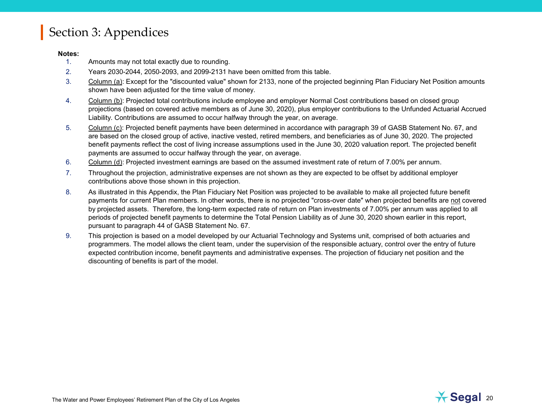#### **Notes:**

- 1. Amounts may not total exactly due to rounding.
- 2. Years 2030-2044, 2050-2093, and 2099-2131 have been omitted from this table.
- 3. Column (a): Except for the "discounted value" shown for 2133, none of the projected beginning Plan Fiduciary Net Position amounts shown have been adjusted for the time value of money.
- 4. Column (b): Projected total contributions include employee and employer Normal Cost contributions based on closed group projections (based on covered active members as of June 30, 2020), plus employer contributions to the Unfunded Actuarial Accrued Liability. Contributions are assumed to occur halfway through the year, on average.
- 5. Column (c): Projected benefit payments have been determined in accordance with paragraph 39 of GASB Statement No. 67, and are based on the closed group of active, inactive vested, retired members, and beneficiaries as of June 30, 2020. The projected benefit payments reflect the cost of living increase assumptions used in the June 30, 2020 valuation report. The projected benefit payments are assumed to occur halfway through the year, on average.
- 6. Column (d): Projected investment earnings are based on the assumed investment rate of return of 7.00% per annum.
- 7. Throughout the projection, administrative expenses are not shown as they are expected to be offset by additional employer contributions above those shown in this projection.
- 8. As illustrated in this Appendix, the Plan Fiduciary Net Position was projected to be available to make all projected future benefit payments for current Plan members. In other words, there is no projected "cross-over date" when projected benefits are not covered by projected assets. Therefore, the long-term expected rate of return on Plan investments of 7.00% per annum was applied to all periods of projected benefit payments to determine the Total Pension Liability as of June 30, 2020 shown earlier in this report, pursuant to paragraph 44 of GASB Statement No. 67.
- 9. This projection is based on a model developed by our Actuarial Technology and Systems unit, comprised of both actuaries and programmers. The model allows the client team, under the supervision of the responsible actuary, control over the entry of future expected contribution income, benefit payments and administrative expenses. The projection of fiduciary net position and the discounting of benefits is part of the model.

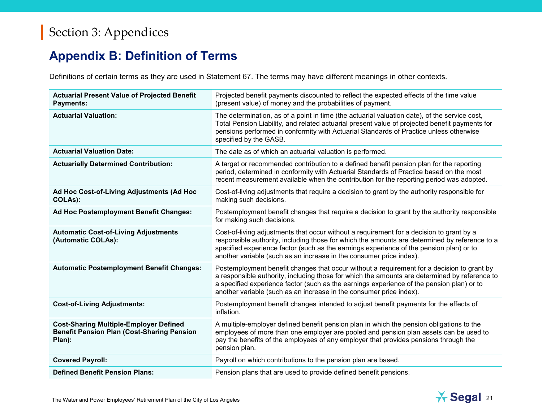#### **Appendix B: Definition of Terms**

Definitions of certain terms as they are used in Statement 67. The terms may have different meanings in other contexts.

| <b>Actuarial Present Value of Projected Benefit</b><br><b>Payments:</b>                                      | Projected benefit payments discounted to reflect the expected effects of the time value<br>(present value) of money and the probabilities of payment.                                                                                                                                                                                                           |
|--------------------------------------------------------------------------------------------------------------|-----------------------------------------------------------------------------------------------------------------------------------------------------------------------------------------------------------------------------------------------------------------------------------------------------------------------------------------------------------------|
| <b>Actuarial Valuation:</b>                                                                                  | The determination, as of a point in time (the actuarial valuation date), of the service cost,<br>Total Pension Liability, and related actuarial present value of projected benefit payments for<br>pensions performed in conformity with Actuarial Standards of Practice unless otherwise<br>specified by the GASB.                                             |
| <b>Actuarial Valuation Date:</b>                                                                             | The date as of which an actuarial valuation is performed.                                                                                                                                                                                                                                                                                                       |
| <b>Actuarially Determined Contribution:</b>                                                                  | A target or recommended contribution to a defined benefit pension plan for the reporting<br>period, determined in conformity with Actuarial Standards of Practice based on the most<br>recent measurement available when the contribution for the reporting period was adopted.                                                                                 |
| Ad Hoc Cost-of-Living Adjustments (Ad Hoc<br><b>COLAs):</b>                                                  | Cost-of-living adjustments that require a decision to grant by the authority responsible for<br>making such decisions.                                                                                                                                                                                                                                          |
| Ad Hoc Postemployment Benefit Changes:                                                                       | Postemployment benefit changes that require a decision to grant by the authority responsible<br>for making such decisions.                                                                                                                                                                                                                                      |
| <b>Automatic Cost-of-Living Adjustments</b><br>(Automatic COLAs):                                            | Cost-of-living adjustments that occur without a requirement for a decision to grant by a<br>responsible authority, including those for which the amounts are determined by reference to a<br>specified experience factor (such as the earnings experience of the pension plan) or to<br>another variable (such as an increase in the consumer price index).     |
| <b>Automatic Postemployment Benefit Changes:</b>                                                             | Postemployment benefit changes that occur without a requirement for a decision to grant by<br>a responsible authority, including those for which the amounts are determined by reference to<br>a specified experience factor (such as the earnings experience of the pension plan) or to<br>another variable (such as an increase in the consumer price index). |
| <b>Cost-of-Living Adjustments:</b>                                                                           | Postemployment benefit changes intended to adjust benefit payments for the effects of<br>inflation.                                                                                                                                                                                                                                                             |
| <b>Cost-Sharing Multiple-Employer Defined</b><br><b>Benefit Pension Plan (Cost-Sharing Pension</b><br>Plan): | A multiple-employer defined benefit pension plan in which the pension obligations to the<br>employees of more than one employer are pooled and pension plan assets can be used to<br>pay the benefits of the employees of any employer that provides pensions through the<br>pension plan.                                                                      |
| <b>Covered Payroll:</b>                                                                                      | Payroll on which contributions to the pension plan are based.                                                                                                                                                                                                                                                                                                   |
| <b>Defined Benefit Pension Plans:</b>                                                                        | Pension plans that are used to provide defined benefit pensions.                                                                                                                                                                                                                                                                                                |

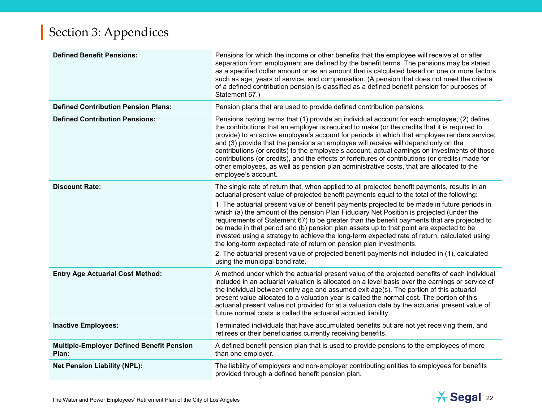| <b>Defined Benefit Pensions:</b>                          | Pensions for which the income or other benefits that the employee will receive at or after<br>separation from employment are defined by the benefit terms. The pensions may be stated<br>as a specified dollar amount or as an amount that is calculated based on one or more factors<br>such as age, years of service, and compensation. (A pension that does not meet the criteria<br>of a defined contribution pension is classified as a defined benefit pension for purposes of<br>Statement 67.)                                                                                                                                                                                                                                                                                                                                                                                  |
|-----------------------------------------------------------|-----------------------------------------------------------------------------------------------------------------------------------------------------------------------------------------------------------------------------------------------------------------------------------------------------------------------------------------------------------------------------------------------------------------------------------------------------------------------------------------------------------------------------------------------------------------------------------------------------------------------------------------------------------------------------------------------------------------------------------------------------------------------------------------------------------------------------------------------------------------------------------------|
| <b>Defined Contribution Pension Plans:</b>                | Pension plans that are used to provide defined contribution pensions.                                                                                                                                                                                                                                                                                                                                                                                                                                                                                                                                                                                                                                                                                                                                                                                                                   |
| <b>Defined Contribution Pensions:</b>                     | Pensions having terms that (1) provide an individual account for each employee; (2) define<br>the contributions that an employer is required to make (or the credits that it is required to<br>provide) to an active employee's account for periods in which that employee renders service;<br>and (3) provide that the pensions an employee will receive will depend only on the<br>contributions (or credits) to the employee's account, actual earnings on investments of those<br>contributions (or credits), and the effects of forfeitures of contributions (or credits) made for<br>other employees, as well as pension plan administrative costs, that are allocated to the<br>employee's account.                                                                                                                                                                              |
| <b>Discount Rate:</b>                                     | The single rate of return that, when applied to all projected benefit payments, results in an<br>actuarial present value of projected benefit payments equal to the total of the following:<br>1. The actuarial present value of benefit payments projected to be made in future periods in<br>which (a) the amount of the pension Plan Fiduciary Net Position is projected (under the<br>requirements of Statement 67) to be greater than the benefit payments that are projected to<br>be made in that period and (b) pension plan assets up to that point are expected to be<br>invested using a strategy to achieve the long-term expected rate of return, calculated using<br>the long-term expected rate of return on pension plan investments.<br>2. The actuarial present value of projected benefit payments not included in (1), calculated<br>using the municipal bond rate. |
| <b>Entry Age Actuarial Cost Method:</b>                   | A method under which the actuarial present value of the projected benefits of each individual<br>included in an actuarial valuation is allocated on a level basis over the earnings or service of<br>the individual between entry age and assumed exit $age(s)$ . The portion of this actuarial<br>present value allocated to a valuation year is called the normal cost. The portion of this<br>actuarial present value not provided for at a valuation date by the actuarial present value of<br>future normal costs is called the actuarial accrued liability.                                                                                                                                                                                                                                                                                                                       |
| <b>Inactive Employees:</b>                                | Terminated individuals that have accumulated benefits but are not yet receiving them, and<br>retirees or their beneficiaries currently receiving benefits.                                                                                                                                                                                                                                                                                                                                                                                                                                                                                                                                                                                                                                                                                                                              |
| <b>Multiple-Employer Defined Benefit Pension</b><br>Plan: | A defined benefit pension plan that is used to provide pensions to the employees of more<br>than one employer.                                                                                                                                                                                                                                                                                                                                                                                                                                                                                                                                                                                                                                                                                                                                                                          |
| <b>Net Pension Liability (NPL):</b>                       | The liability of employers and non-employer contributing entities to employees for benefits<br>provided through a defined benefit pension plan.                                                                                                                                                                                                                                                                                                                                                                                                                                                                                                                                                                                                                                                                                                                                         |